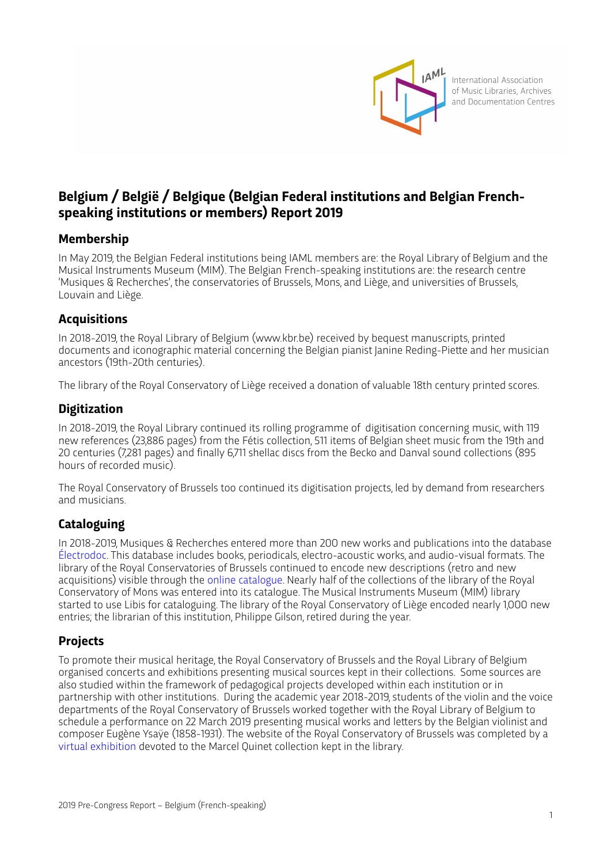

International Association of Music Libraries, Archives and Documentation Centres

# **Belgium / België / Belgique (Belgian Federal institutions and Belgian Frenchspeaking institutions or members) Report 2019**

### **Membership**

In May 2019, the Belgian Federal institutions being IAML members are: the Royal Library of Belgium and the Musical Instruments Museum (MIM). The Belgian French-speaking institutions are: the research centre 'Musiques & Recherches', the conservatories of Brussels, Mons, and Liège, and universities of Brussels, Louvain and Liège.

### **Acquisitions**

In 2018-2019, the Royal Library of Belgium (www.kbr.be) received by bequest manuscripts, printed documents and iconographic material concerning the Belgian pianist Janine Reding-Piette and her musician ancestors (19th-20th centuries).

The library of the Royal Conservatory of Liège received a donation of valuable 18th century printed scores.

### **Digitization**

In 2018-2019, the Royal Library continued its rolling programme of digitisation concerning music, with 119 new references (23,886 pages) from the Fétis collection, 511 items of Belgian sheet music from the 19th and 20 centuries (7,281 pages) and finally 6,711 shellac discs from the Becko and Danval sound collections (895 hours of recorded music).

The Royal Conservatory of Brussels too continued its digitisation projects, led by demand from researchers and musicians.

## **Cataloguing**

In 2018-2019, Musiques & Recherches entered more than 200 new works and publications into the database [Électrodoc](http://electrodoc.musiques-recherches.be). This database includes books, periodicals, electro-acoustic works, and audio-visual formats. The library of the Royal Conservatories of Brussels continued to encode new descriptions (retro and new acquisitions) visible through the [online catalogue](http://catalog.b-bc.org). Nearly half of the collections of the library of the Royal Conservatory of Mons was entered into its catalogue. The Musical Instruments Museum (MIM) library started to use Libis for cataloguing. The library of the Royal Conservatory of Liège encoded nearly 1,000 new entries; the librarian of this institution, Philippe Gilson, retired during the year.

## **Projects**

To promote their musical heritage, the Royal Conservatory of Brussels and the Royal Library of Belgium organised concerts and exhibitions presenting musical sources kept in their collections. Some sources are also studied within the framework of pedagogical projects developed within each institution or in partnership with other institutions. During the academic year 2018-2019, students of the violin and the voice departments of the Royal Conservatory of Brussels worked together with the Royal Library of Belgium to schedule a performance on 22 March 2019 presenting musical works and leters by the Belgian violinist and composer Eugène Ysaÿe (1858-1931). The website of the Royal Conservatory of Brussels was completed by a [virtual exhibition](https://sites.google.com/view/le-fonds-marcel-quinet) devoted to the Marcel Quinet collection kept in the library.